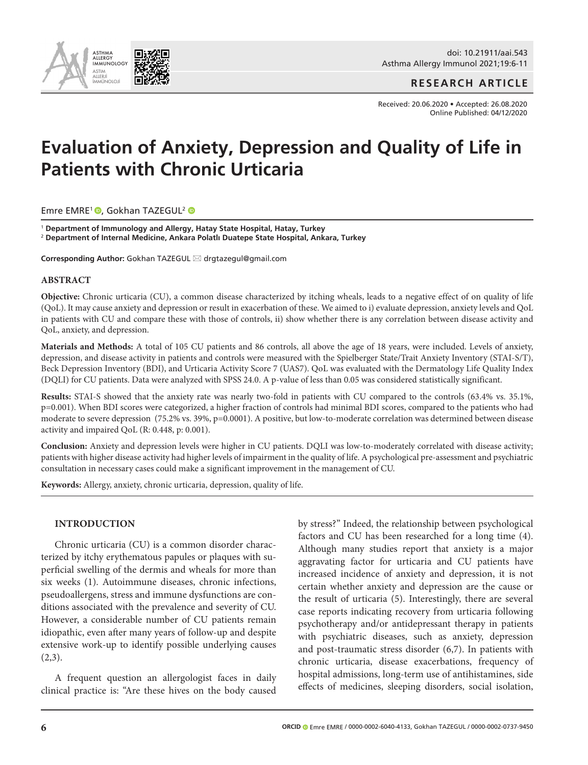

doi: 10.21911/aai.543 Asthma Allergy Immunol 2021;19:6-11

**RESEARCH ARTICLE**

Received: 20.06.2020 • Accepted: 26.08.2020 Online Published: 04/12/2020

# **Evaluation of Anxiety, Depression and Quality of Life in Patients with Chronic Urticaria**

Emre EMRE<sup>1</sup> , Gokhan TAZEGUL<sup>2</sup> <sup>D</sup>

<sup>1</sup> **Department of Immunology and Allergy, Hatay State Hospital, Hatay, Turkey** <sup>2</sup> **Department of Internal Medicine, Ankara Polatlı Duatepe State Hospital, Ankara, Turkey**

**Corresponding Author:** Gokhan TAZEGUL \* drgtazegul@gmail.com

#### **ABSTRACT**

**Objective:** Chronic urticaria (CU), a common disease characterized by itching wheals, leads to a negative effect of on quality of life (QoL). It may cause anxiety and depression or result in exacerbation of these. We aimed to i) evaluate depression, anxiety levels and QoL in patients with CU and compare these with those of controls, ii) show whether there is any correlation between disease activity and QoL, anxiety, and depression.

**Materials and Methods:** A total of 105 CU patients and 86 controls, all above the age of 18 years, were included. Levels of anxiety, depression, and disease activity in patients and controls were measured with the Spielberger State/Trait Anxiety Inventory (STAI-S/T), Beck Depression Inventory (BDI), and Urticaria Activity Score 7 (UAS7). QoL was evaluated with the Dermatology Life Quality Index (DQLI) for CU patients. Data were analyzed with SPSS 24.0. A p-value of less than 0.05 was considered statistically significant.

**Results:** STAI-S showed that the anxiety rate was nearly two-fold in patients with CU compared to the controls (63.4% vs. 35.1%, p=0.001). When BDI scores were categorized, a higher fraction of controls had minimal BDI scores, compared to the patients who had moderate to severe depression (75.2% vs. 39%, p=0.0001). A positive, but low-to-moderate correlation was determined between disease activity and impaired QoL (R: 0.448, p: 0.001).

**Conclusion:** Anxiety and depression levels were higher in CU patients. DQLI was low-to-moderately correlated with disease activity; patients with higher disease activity had higher levels of impairment in the quality of life. A psychological pre-assessment and psychiatric consultation in necessary cases could make a significant improvement in the management of CU.

**Keywords:** Allergy, anxiety, chronic urticaria, depression, quality of life.

# **INTRODUCTION**

Chronic urticaria (CU) is a common disorder characterized by itchy erythematous papules or plaques with superficial swelling of the dermis and wheals for more than six weeks (1). Autoimmune diseases, chronic infections, pseudoallergens, stress and immune dysfunctions are conditions associated with the prevalence and severity of CU. However, a considerable number of CU patients remain idiopathic, even after many years of follow-up and despite extensive work-up to identify possible underlying causes  $(2,3)$ .

A frequent question an allergologist faces in daily clinical practice is: "Are these hives on the body caused by stress?" Indeed, the relationship between psychological factors and CU has been researched for a long time (4). Although many studies report that anxiety is a major aggravating factor for urticaria and CU patients have increased incidence of anxiety and depression, it is not certain whether anxiety and depression are the cause or the result of urticaria (5). Interestingly, there are several case reports indicating recovery from urticaria following psychotherapy and/or antidepressant therapy in patients with psychiatric diseases, such as anxiety, depression and post-traumatic stress disorder (6,7). In patients with chronic urticaria, disease exacerbations, frequency of hospital admissions, long-term use of antihistamines, side effects of medicines, sleeping disorders, social isolation,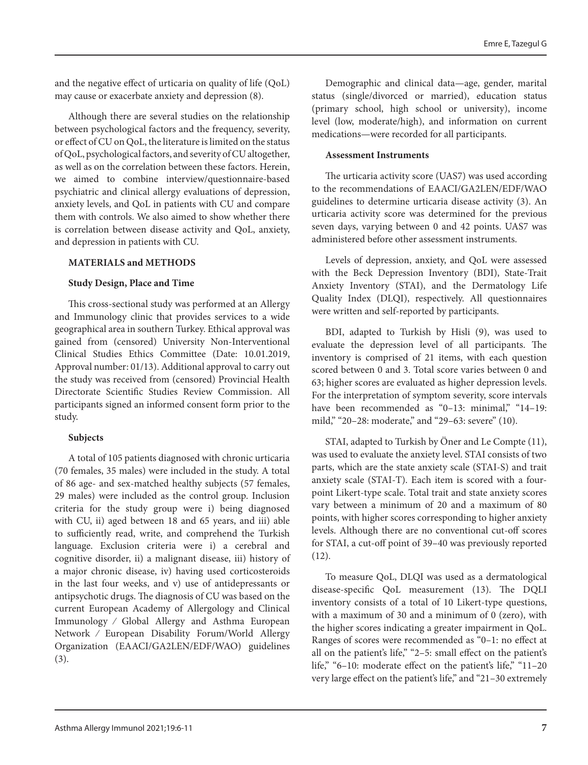and the negative effect of urticaria on quality of life (QoL) may cause or exacerbate anxiety and depression (8).

Although there are several studies on the relationship between psychological factors and the frequency, severity, or effect of CU on QoL, the literature is limited on the status of QoL, psychological factors, and severity of CU altogether, as well as on the correlation between these factors. Herein, we aimed to combine interview/questionnaire-based psychiatric and clinical allergy evaluations of depression, anxiety levels, and QoL in patients with CU and compare them with controls. We also aimed to show whether there is correlation between disease activity and QoL, anxiety, and depression in patients with CU.

# **MATERIALS and METHODS**

#### **Study Design, Place and Time**

This cross-sectional study was performed at an Allergy and Immunology clinic that provides services to a wide geographical area in southern Turkey. Ethical approval was gained from (censored) University Non-Interventional Clinical Studies Ethics Committee (Date: 10.01.2019, Approval number: 01/13). Additional approval to carry out the study was received from (censored) Provincial Health Directorate Scientific Studies Review Commission. All participants signed an informed consent form prior to the study.

# **Subjects**

A total of 105 patients diagnosed with chronic urticaria (70 females, 35 males) were included in the study. A total of 86 age- and sex-matched healthy subjects (57 females, 29 males) were included as the control group. Inclusion criteria for the study group were i) being diagnosed with CU, ii) aged between 18 and 65 years, and iii) able to sufficiently read, write, and comprehend the Turkish language. Exclusion criteria were i) a cerebral and cognitive disorder, ii) a malignant disease, iii) history of a major chronic disease, iv) having used corticosteroids in the last four weeks, and v) use of antidepressants or antipsychotic drugs. The diagnosis of CU was based on the current European Academy of Allergology and Clinical Immunology ⁄ Global Allergy and Asthma European Network ⁄ European Disability Forum/World Allergy Organization (EAACI/GA2LEN/EDF/WAO) guidelines (3).

Demographic and clinical data—age, gender, marital status (single/divorced or married), education status (primary school, high school or university), income level (low, moderate/high), and information on current medications—were recorded for all participants.

## **Assessment Instruments**

The urticaria activity score (UAS7) was used according to the recommendations of EAACI/GA2LEN/EDF/WAO guidelines to determine urticaria disease activity (3). An urticaria activity score was determined for the previous seven days, varying between 0 and 42 points. UAS7 was administered before other assessment instruments.

Levels of depression, anxiety, and QoL were assessed with the Beck Depression Inventory (BDI), State-Trait Anxiety Inventory (STAI), and the Dermatology Life Quality Index (DLQI), respectively. All questionnaires were written and self-reported by participants.

BDI, adapted to Turkish by Hisli (9), was used to evaluate the depression level of all participants. The inventory is comprised of 21 items, with each question scored between 0 and 3. Total score varies between 0 and 63; higher scores are evaluated as higher depression levels. For the interpretation of symptom severity, score intervals have been recommended as "0-13: minimal," "14-19: mild," "20–28: moderate," and "29–63: severe" (10).

STAI, adapted to Turkish by Öner and Le Compte (11), was used to evaluate the anxiety level. STAI consists of two parts, which are the state anxiety scale (STAI-S) and trait anxiety scale (STAI-T). Each item is scored with a fourpoint Likert-type scale. Total trait and state anxiety scores vary between a minimum of 20 and a maximum of 80 points, with higher scores corresponding to higher anxiety levels. Although there are no conventional cut-off scores for STAI, a cut-off point of 39–40 was previously reported (12).

To measure QoL, DLQI was used as a dermatological disease-specific QoL measurement (13). The DQLI inventory consists of a total of 10 Likert-type questions, with a maximum of 30 and a minimum of 0 (zero), with the higher scores indicating a greater impairment in QoL. Ranges of scores were recommended as "0–1: no effect at all on the patient's life," "2–5: small effect on the patient's life," "6–10: moderate effect on the patient's life," "11–20 very large effect on the patient's life," and "21–30 extremely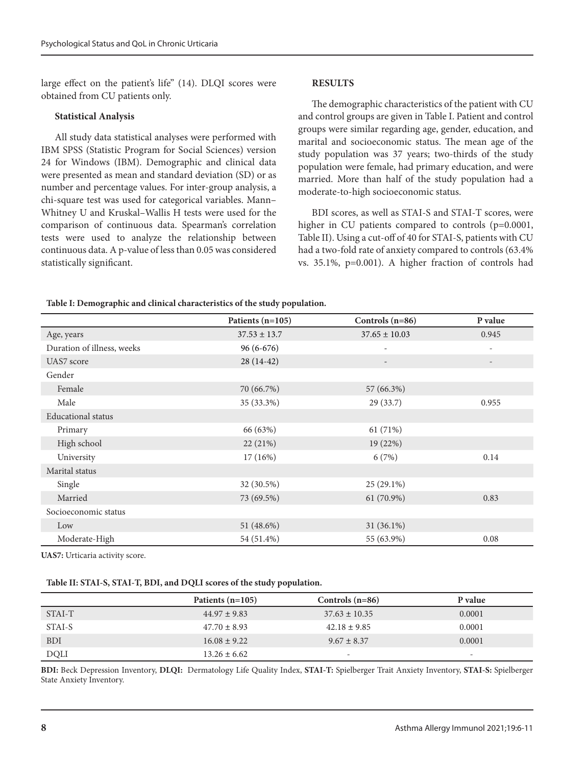large effect on the patient's life" (14). DLQI scores were obtained from CU patients only.

#### **Statistical Analysis**

All study data statistical analyses were performed with IBM SPSS (Statistic Program for Social Sciences) version 24 for Windows (IBM). Demographic and clinical data were presented as mean and standard deviation (SD) or as number and percentage values. For inter-group analysis, a chi-square test was used for categorical variables. Mann– Whitney U and Kruskal–Wallis H tests were used for the comparison of continuous data. Spearman's correlation tests were used to analyze the relationship between continuous data. A p-value of less than 0.05 was considered statistically significant.

#### **RESULTS**

The demographic characteristics of the patient with CU and control groups are given in Table I. Patient and control groups were similar regarding age, gender, education, and marital and socioeconomic status. The mean age of the study population was 37 years; two-thirds of the study population were female, had primary education, and were married. More than half of the study population had a moderate-to-high socioeconomic status.

BDI scores, as well as STAI-S and STAI-T scores, were higher in CU patients compared to controls (p=0.0001, Table II). Using a cut-off of 40 for STAI-S, patients with CU had a two-fold rate of anxiety compared to controls (63.4% vs. 35.1%, p=0.001). A higher fraction of controls had

#### **Table I: Demographic and clinical characteristics of the study population.**

|                            | Patients $(n=105)$ | Controls $(n=86)$        | P value                  |
|----------------------------|--------------------|--------------------------|--------------------------|
| Age, years                 | $37.53 \pm 13.7$   | $37.65 \pm 10.03$        | 0.945                    |
| Duration of illness, weeks | $96(6-676)$        |                          |                          |
| UAS7 score                 | $28(14-42)$        | $\overline{\phantom{a}}$ | $\overline{\phantom{a}}$ |
| Gender                     |                    |                          |                          |
| Female                     | 70 (66.7%)         | 57 (66.3%)               |                          |
| Male                       | 35 (33.3%)         | 29(33.7)                 | 0.955                    |
| <b>Educational</b> status  |                    |                          |                          |
| Primary                    | 66 (63%)           | 61 (71%)                 |                          |
| High school                | 22 (21%)           | 19 (22%)                 |                          |
| University                 | 17(16%)            | 6(7%)                    | 0.14                     |
| Marital status             |                    |                          |                          |
| Single                     | 32 (30.5%)         | 25 (29.1%)               |                          |
| Married                    | 73 (69.5%)         | 61 (70.9%)               | 0.83                     |
| Socioeconomic status       |                    |                          |                          |
| Low                        | 51 (48.6%)         | $31(36.1\%)$             |                          |
| Moderate-High              | 54 (51.4%)         | 55 (63.9%)               | 0.08                     |

**UAS7:** Urticaria activity score.

#### **Table II: STAI-S, STAI-T, BDI, and DQLI scores of the study population.**

|             | Patients $(n=105)$ | Controls $(n=86)$        | P value                  |
|-------------|--------------------|--------------------------|--------------------------|
| STAI-T      | $44.97 \pm 9.83$   | $37.63 \pm 10.35$        | 0.0001                   |
| STAI-S      | $47.70 \pm 8.93$   | $42.18 \pm 9.85$         | 0.0001                   |
| <b>BDI</b>  | $16.08 \pm 9.22$   | $9.67 \pm 8.37$          | 0.0001                   |
| <b>DQLI</b> | $13.26 \pm 6.62$   | $\overline{\phantom{0}}$ | $\overline{\phantom{0}}$ |

**BDI:** Beck Depression Inventory, **DLQI:** Dermatology Life Quality Index, **STAI-T:** Spielberger Trait Anxiety Inventory, **STAI-S:** Spielberger State Anxiety Inventory.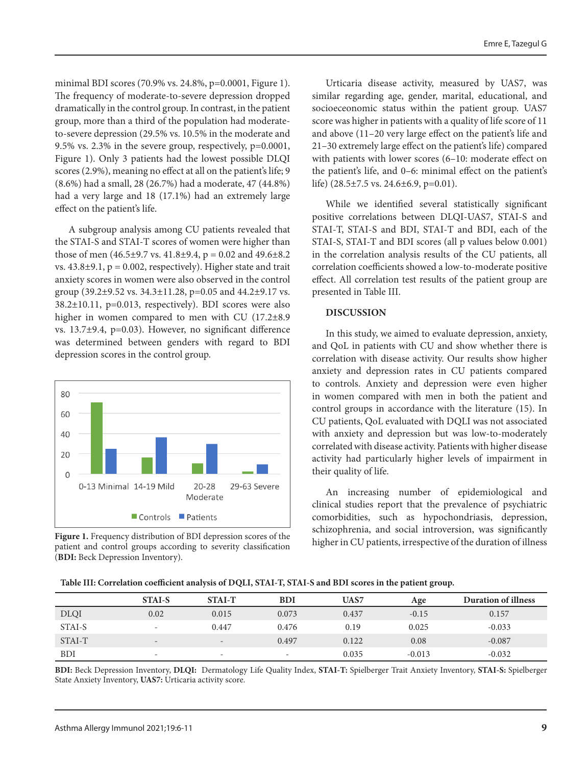minimal BDI scores (70.9% vs. 24.8%, p=0.0001, Figure 1). The frequency of moderate-to-severe depression dropped dramatically in the control group. In contrast, in the patient group, more than a third of the population had moderateto-severe depression (29.5% vs. 10.5% in the moderate and 9.5% vs. 2.3% in the severe group, respectively, p=0.0001, Figure 1). Only 3 patients had the lowest possible DLQI scores (2.9%), meaning no effect at all on the patient's life; 9 (8.6%) had a small, 28 (26.7%) had a moderate, 47 (44.8%) had a very large and 18 (17.1%) had an extremely large effect on the patient's life.

A subgroup analysis among CU patients revealed that the STAI-S and STAI-T scores of women were higher than those of men  $(46.5\pm9.7 \text{ vs. } 41.8\pm9.4, p = 0.02 \text{ and } 49.6\pm8.2)$ vs.  $43.8\pm9.1$ ,  $p = 0.002$ , respectively). Higher state and trait anxiety scores in women were also observed in the control group (39.2±9.52 vs. 34.3±11.28, p=0.05 and 44.2±9.17 vs. 38.2±10.11, p=0.013, respectively). BDI scores were also higher in women compared to men with CU (17.2 $\pm$ 8.9 vs. 13.7±9.4, p=0.03). However, no significant difference was determined between genders with regard to BDI depression scores in the control group.



**Figure 1.** Frequency distribution of BDI depression scores of the patient and control groups according to severity classification (**BDI:** Beck Depression Inventory).

Urticaria disease activity, measured by UAS7, was similar regarding age, gender, marital, educational, and socioeceonomic status within the patient group. UAS7 score was higher in patients with a quality of life score of 11 and above (11–20 very large effect on the patient's life and 21–30 extremely large effect on the patient's life) compared with patients with lower scores (6–10: moderate effect on the patient's life, and 0–6: minimal effect on the patient's life) (28.5±7.5 vs. 24.6±6.9, p=0.01).

While we identified several statistically significant positive correlations between DLQI-UAS7, STAI-S and STAI-T, STAI-S and BDI, STAI-T and BDI, each of the STAI-S, STAI-T and BDI scores (all p values below 0.001) in the correlation analysis results of the CU patients, all correlation coefficients showed a low-to-moderate positive effect. All correlation test results of the patient group are presented in Table III.

### **DISCUSSION**

In this study, we aimed to evaluate depression, anxiety, and QoL in patients with CU and show whether there is correlation with disease activity. Our results show higher anxiety and depression rates in CU patients compared to controls. Anxiety and depression were even higher in women compared with men in both the patient and control groups in accordance with the literature (15). In CU patients, QoL evaluated with DQLI was not associated with anxiety and depression but was low-to-moderately correlated with disease activity. Patients with higher disease activity had particularly higher levels of impairment in their quality of life.

An increasing number of epidemiological and clinical studies report that the prevalence of psychiatric comorbidities, such as hypochondriasis, depression, schizophrenia, and social introversion, was significantly higher in CU patients, irrespective of the duration of illness

|             | <b>STAI-S</b>            | <b>STAI-T</b>            | <b>BDI</b>               | <b>UAS7</b> | Age      | <b>Duration of illness</b> |
|-------------|--------------------------|--------------------------|--------------------------|-------------|----------|----------------------------|
| <b>DLQI</b> | 0.02                     | 0.015                    | 0.073                    | 0.437       | $-0.15$  | 0.157                      |
| STAI-S      | $\sim$                   | 0.447                    | 0.476                    | 0.19        | 0.025    | $-0.033$                   |
| STAI-T      | $\overline{\phantom{0}}$ | $\overline{\phantom{a}}$ | 0.497                    | 0.122       | 0.08     | $-0.087$                   |
| <b>BDI</b>  | $\sim$                   | $\overline{\phantom{a}}$ | $\overline{\phantom{a}}$ | 0.035       | $-0.013$ | $-0.032$                   |

**BDI:** Beck Depression Inventory, **DLQI:** Dermatology Life Quality Index, **STAI-T:** Spielberger Trait Anxiety Inventory, **STAI-S:** Spielberger State Anxiety Inventory, **UAS7:** Urticaria activity score.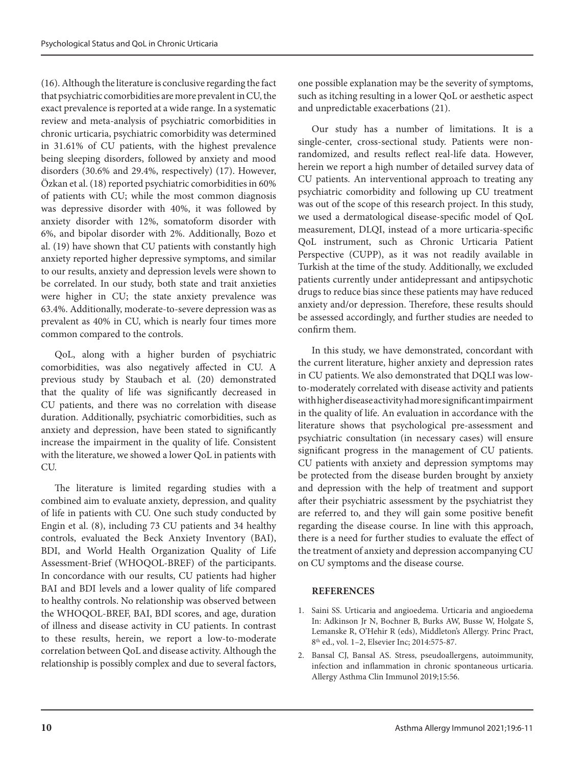(16). Although the literature is conclusive regarding the fact that psychiatric comorbidities are more prevalent in CU, the exact prevalence is reported at a wide range. In a systematic review and meta-analysis of psychiatric comorbidities in chronic urticaria, psychiatric comorbidity was determined in 31.61% of CU patients, with the highest prevalence being sleeping disorders, followed by anxiety and mood disorders (30.6% and 29.4%, respectively) (17). However, Özkan et al. (18) reported psychiatric comorbidities in 60% of patients with CU; while the most common diagnosis was depressive disorder with 40%, it was followed by anxiety disorder with 12%, somatoform disorder with 6%, and bipolar disorder with 2%. Additionally, Bozo et al. (19) have shown that CU patients with constantly high anxiety reported higher depressive symptoms, and similar to our results, anxiety and depression levels were shown to be correlated. In our study, both state and trait anxieties were higher in CU; the state anxiety prevalence was 63.4%. Additionally, moderate-to-severe depression was as prevalent as 40% in CU, which is nearly four times more common compared to the controls.

QoL, along with a higher burden of psychiatric comorbidities, was also negatively affected in CU. A previous study by Staubach et al. (20) demonstrated that the quality of life was significantly decreased in CU patients, and there was no correlation with disease duration. Additionally, psychiatric comorbidities, such as anxiety and depression, have been stated to significantly increase the impairment in the quality of life. Consistent with the literature, we showed a lower QoL in patients with CU.

The literature is limited regarding studies with a combined aim to evaluate anxiety, depression, and quality of life in patients with CU. One such study conducted by Engin et al. (8), including 73 CU patients and 34 healthy controls, evaluated the Beck Anxiety Inventory (BAI), BDI, and World Health Organization Quality of Life Assessment-Brief (WHOQOL-BREF) of the participants. In concordance with our results, CU patients had higher BAI and BDI levels and a lower quality of life compared to healthy controls. No relationship was observed between the WHOQOL-BREF, BAI, BDI scores, and age, duration of illness and disease activity in CU patients. In contrast to these results, herein, we report a low-to-moderate correlation between QoL and disease activity. Although the relationship is possibly complex and due to several factors, one possible explanation may be the severity of symptoms, such as itching resulting in a lower QoL or aesthetic aspect and unpredictable exacerbations (21).

Our study has a number of limitations. It is a single-center, cross-sectional study. Patients were nonrandomized, and results reflect real-life data. However, herein we report a high number of detailed survey data of CU patients. An interventional approach to treating any psychiatric comorbidity and following up CU treatment was out of the scope of this research project. In this study, we used a dermatological disease-specific model of QoL measurement, DLQI, instead of a more urticaria-specific QoL instrument, such as Chronic Urticaria Patient Perspective (CUPP), as it was not readily available in Turkish at the time of the study. Additionally, we excluded patients currently under antidepressant and antipsychotic drugs to reduce bias since these patients may have reduced anxiety and/or depression. Therefore, these results should be assessed accordingly, and further studies are needed to confirm them.

In this study, we have demonstrated, concordant with the current literature, higher anxiety and depression rates in CU patients. We also demonstrated that DQLI was lowto-moderately correlated with disease activity and patients with higher disease activity had more significant impairment in the quality of life. An evaluation in accordance with the literature shows that psychological pre-assessment and psychiatric consultation (in necessary cases) will ensure significant progress in the management of CU patients. CU patients with anxiety and depression symptoms may be protected from the disease burden brought by anxiety and depression with the help of treatment and support after their psychiatric assessment by the psychiatrist they are referred to, and they will gain some positive benefit regarding the disease course. In line with this approach, there is a need for further studies to evaluate the effect of the treatment of anxiety and depression accompanying CU on CU symptoms and the disease course.

# **REFERENCES**

- 1. Saini SS. Urticaria and angioedema. Urticaria and angioedema In: Adkinson Jr N, Bochner B, Burks AW, Busse W, Holgate S, Lemanske R, O'Hehir R (eds), Middleton's Allergy. Princ Pract, 8th ed., vol. 1–2, Elsevier Inc; 2014:575-87.
- 2. Bansal CJ, Bansal AS. Stress, pseudoallergens, autoimmunity, infection and inflammation in chronic spontaneous urticaria. Allergy Asthma Clin Immunol 2019;15:56.